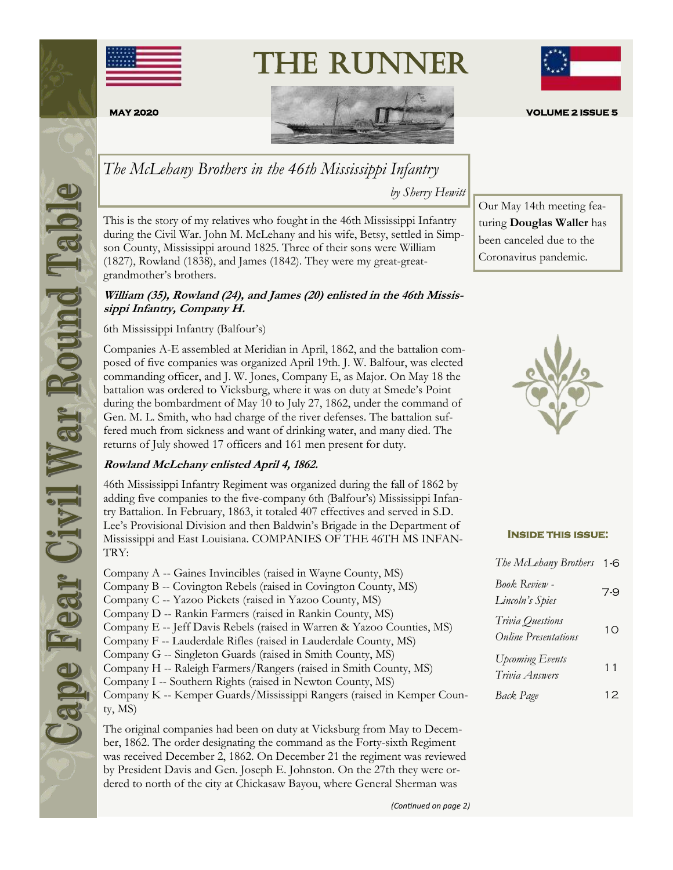

# The Runner





*The McLehany Brothers in the 46th Mississippi Infantry* 

*by Sherry Hewitt*

This is the story of my relatives who fought in the 46th Mississippi Infantry during the Civil War. John M. McLehany and his wife, Betsy, settled in Simpson County, Mississippi around 1825. Three of their sons were William (1827), Rowland (1838), and James (1842). They were my great-greatgrandmother's brothers.

#### **William (35), Rowland (24), and James (20) enlisted in the 46th Mississippi Infantry, Company H.**

6th Mississippi Infantry (Balfour's)

Companies A-E assembled at Meridian in April, 1862, and the battalion composed of five companies was organized April 19th. J. W. Balfour, was elected commanding officer, and J. W. Jones, Company E, as Major. On May 18 the battalion was ordered to Vicksburg, where it was on duty at Smede's Point during the bombardment of May 10 to July 27, 1862, under the command of Gen. M. L. Smith, who had charge of the river defenses. The battalion suffered much from sickness and want of drinking water, and many died. The returns of July showed 17 officers and 161 men present for duty.

#### **Rowland McLehany enlisted April 4, 1862.**

46th Mississippi Infantry Regiment was organized during the fall of 1862 by adding five companies to the five-company 6th (Balfour's) Mississippi Infantry Battalion. In February, 1863, it totaled 407 effectives and served in S.D. Lee's Provisional Division and then Baldwin's Brigade in the Department of Mississippi and East Louisiana. COMPANIES OF THE 46TH MS INFAN-TRY:

Company A -- Gaines Invincibles (raised in Wayne County, MS) Company B -- Covington Rebels (raised in Covington County, MS) Company C -- Yazoo Pickets (raised in Yazoo County, MS) Company D -- Rankin Farmers (raised in Rankin County, MS) Company E -- Jeff Davis Rebels (raised in Warren & Yazoo Counties, MS) Company F -- Lauderdale Rifles (raised in Lauderdale County, MS) Company G -- Singleton Guards (raised in Smith County, MS) Company H -- Raleigh Farmers/Rangers (raised in Smith County, MS) Company I -- Southern Rights (raised in Newton County, MS) Company K -- Kemper Guards/Mississippi Rangers (raised in Kemper County, MS)

The original companies had been on duty at Vicksburg from May to December, 1862. The order designating the command as the Forty-sixth Regiment was received December 2, 1862. On December 21 the regiment was reviewed by President Davis and Gen. Joseph E. Johnston. On the 27th they were ordered to north of the city at Chickasaw Bayou, where General Sherman was



Our May 14th meeting featuring **Douglas Waller** has been canceled due to the Coronavirus pandemic.

#### **Inside this issue:**

| The McLehany Brothers                           | $1 - 6$ |
|-------------------------------------------------|---------|
| <b>Book Review -</b><br>Lincoln's Spies         | 7-9     |
| Trivia Questions<br><b>Online Presentations</b> | 10      |
| <b>Upcoming Events</b><br>Trivia Answers        | 11      |
| Back Page                                       | 12      |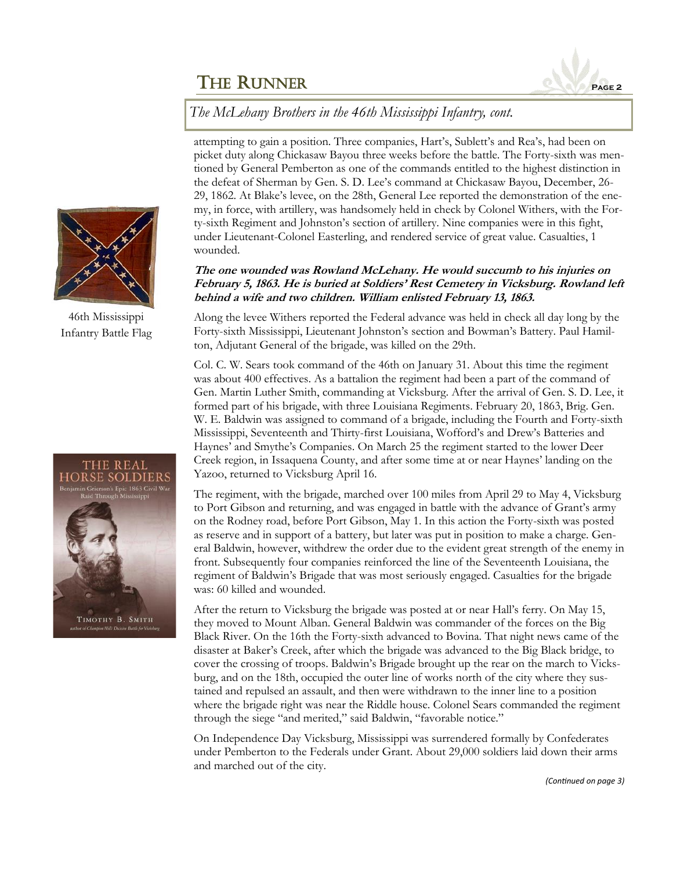

*The McLehany Brothers in the 46th Mississippi Infantry, cont.* 

attempting to gain a position. Three companies, Hart's, Sublett's and Rea's, had been on picket duty along Chickasaw Bayou three weeks before the battle. The Forty-sixth was mentioned by General Pemberton as one of the commands entitled to the highest distinction in the defeat of Sherman by Gen. S. D. Lee's command at Chickasaw Bayou, December, 26- 29, 1862. At Blake's levee, on the 28th, General Lee reported the demonstration of the enemy, in force, with artillery, was handsomely held in check by Colonel Withers, with the Forty-sixth Regiment and Johnston's section of artillery. Nine companies were in this fight, under Lieutenant-Colonel Easterling, and rendered service of great value. Casualties, 1 wounded.

#### **The one wounded was Rowland McLehany. He would succumb to his injuries on February 5, 1863. He is buried at Soldiers' Rest Cemetery in Vicksburg. Rowland left behind a wife and two children. William enlisted February 13, 1863.**

Along the levee Withers reported the Federal advance was held in check all day long by the Forty-sixth Mississippi, Lieutenant Johnston's section and Bowman's Battery. Paul Hamilton, Adjutant General of the brigade, was killed on the 29th.

Col. C. W. Sears took command of the 46th on January 31. About this time the regiment was about 400 effectives. As a battalion the regiment had been a part of the command of Gen. Martin Luther Smith, commanding at Vicksburg. After the arrival of Gen. S. D. Lee, it formed part of his brigade, with three Louisiana Regiments. February 20, 1863, Brig. Gen. W. E. Baldwin was assigned to command of a brigade, including the Fourth and Forty-sixth Mississippi, Seventeenth and Thirty-first Louisiana, Wofford's and Drew's Batteries and Haynes' and Smythe's Companies. On March 25 the regiment started to the lower Deer Creek region, in Issaquena County, and after some time at or near Haynes' landing on the Yazoo, returned to Vicksburg April 16.

The regiment, with the brigade, marched over 100 miles from April 29 to May 4, Vicksburg to Port Gibson and returning, and was engaged in battle with the advance of Grant's army on the Rodney road, before Port Gibson, May 1. In this action the Forty-sixth was posted as reserve and in support of a battery, but later was put in position to make a charge. General Baldwin, however, withdrew the order due to the evident great strength of the enemy in front. Subsequently four companies reinforced the line of the Seventeenth Louisiana, the regiment of Baldwin's Brigade that was most seriously engaged. Casualties for the brigade was: 60 killed and wounded.

After the return to Vicksburg the brigade was posted at or near Hall's ferry. On May 15, they moved to Mount Alban. General Baldwin was commander of the forces on the Big Black River. On the 16th the Forty-sixth advanced to Bovina. That night news came of the disaster at Baker's Creek, after which the brigade was advanced to the Big Black bridge, to cover the crossing of troops. Baldwin's Brigade brought up the rear on the march to Vicksburg, and on the 18th, occupied the outer line of works north of the city where they sustained and repulsed an assault, and then were withdrawn to the inner line to a position where the brigade right was near the Riddle house. Colonel Sears commanded the regiment through the siege "and merited," said Baldwin, "favorable notice."

On Independence Day Vicksburg, Mississippi was surrendered formally by Confederates under Pemberton to the Federals under Grant. About 29,000 soldiers laid down their arms and marched out of the city.



46th Mississippi Infantry Battle Flag



*(Continued on page 3)*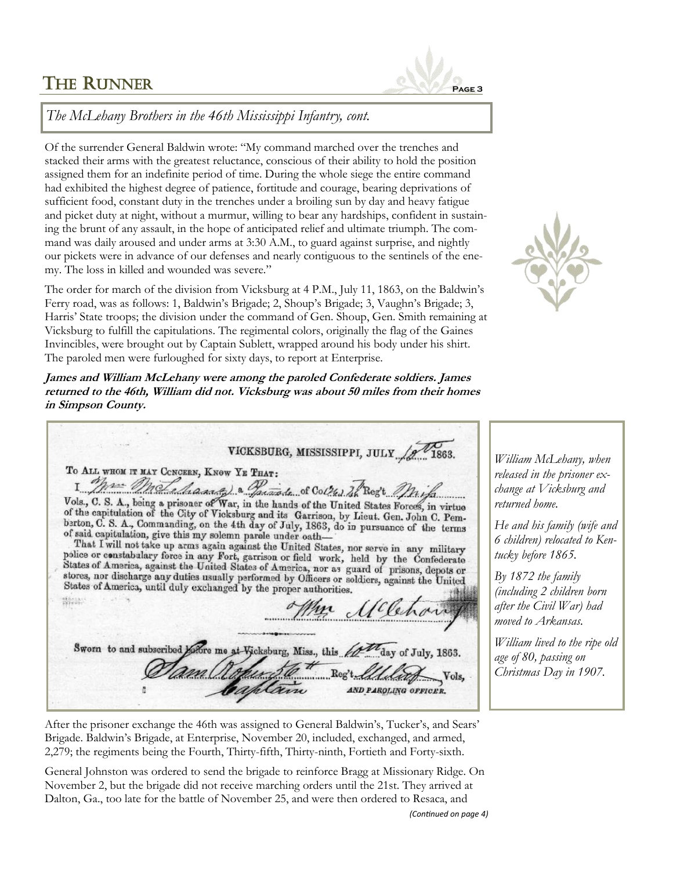

*The McLehany Brothers in the 46th Mississippi Infantry, cont.* 

Of the surrender General Baldwin wrote: "My command marched over the trenches and stacked their arms with the greatest reluctance, conscious of their ability to hold the position assigned them for an indefinite period of time. During the whole siege the entire command had exhibited the highest degree of patience, fortitude and courage, bearing deprivations of sufficient food, constant duty in the trenches under a broiling sun by day and heavy fatigue and picket duty at night, without a murmur, willing to bear any hardships, confident in sustaining the brunt of any assault, in the hope of anticipated relief and ultimate triumph. The command was daily aroused and under arms at 3:30 A.M., to guard against surprise, and nightly our pickets were in advance of our defenses and nearly contiguous to the sentinels of the enemy. The loss in killed and wounded was severe."

The order for march of the division from Vicksburg at 4 P.M., July 11, 1863, on the Baldwin's Ferry road, was as follows: 1, Baldwin's Brigade; 2, Shoup's Brigade; 3, Vaughn's Brigade; 3, Harris' State troops; the division under the command of Gen. Shoup, Gen. Smith remaining at Vicksburg to fulfill the capitulations. The regimental colors, originally the flag of the Gaines Invincibles, were brought out by Captain Sublett, wrapped around his body under his shirt. The paroled men were furloughed for sixty days, to report at Enterprise.

**James and William McLehany were among the paroled Confederate soldiers. James returned to the 46th, William did not. Vicksburg was about 50 miles from their homes in Simpson County.**

VICKSBURG, MISSISSIPPI, JULY To ALL WHOM IT MAY CONCERN, KNOW YE THAT: I Man Male Massach & Sacarah of Collul In Reg't May Laws Vols., C. S. A., being a prisoner of War, in the hands of the United States Forces, in virtue of the capitulation of the City of Vicksburg and its Garrison, by Lieut of said capitulation, give this my solemn parele under oathor said capitulation, give this my solemn parele under oath—<br>That I will not take up arms again against the United States, nor serve in any military<br>police or constabulary force in any Fort, garrison or field work, held by stores, nor discharge any duties usually performed by Officers or soldiers, against the United<br>States of America, under the United States of America, until duly exchanged by the proper authorities. **Nicia** Sworn to and subscribed before me at Vicksburg, Miss., this 60° day of July, 1863. Vols, AND PAROLING OFFICER.

*William McLehany, when released in the prisoner exchange at Vicksburg and returned home.* 

*He and his family (wife and 6 children) relocated to Kentucky before 1865.* 

*By 1872 the family (including 2 children born after the Civil War) had moved to Arkansas.* 

*William lived to the ripe old age of 80, passing on Christmas Day in 1907.*

After the prisoner exchange the 46th was assigned to General Baldwin's, Tucker's, and Sears' Brigade. Baldwin's Brigade, at Enterprise, November 20, included, exchanged, and armed, 2,279; the regiments being the Fourth, Thirty-fifth, Thirty-ninth, Fortieth and Forty-sixth.

General Johnston was ordered to send the brigade to reinforce Bragg at Missionary Ridge. On November 2, but the brigade did not receive marching orders until the 21st. They arrived at Dalton, Ga., too late for the battle of November 25, and were then ordered to Resaca, and

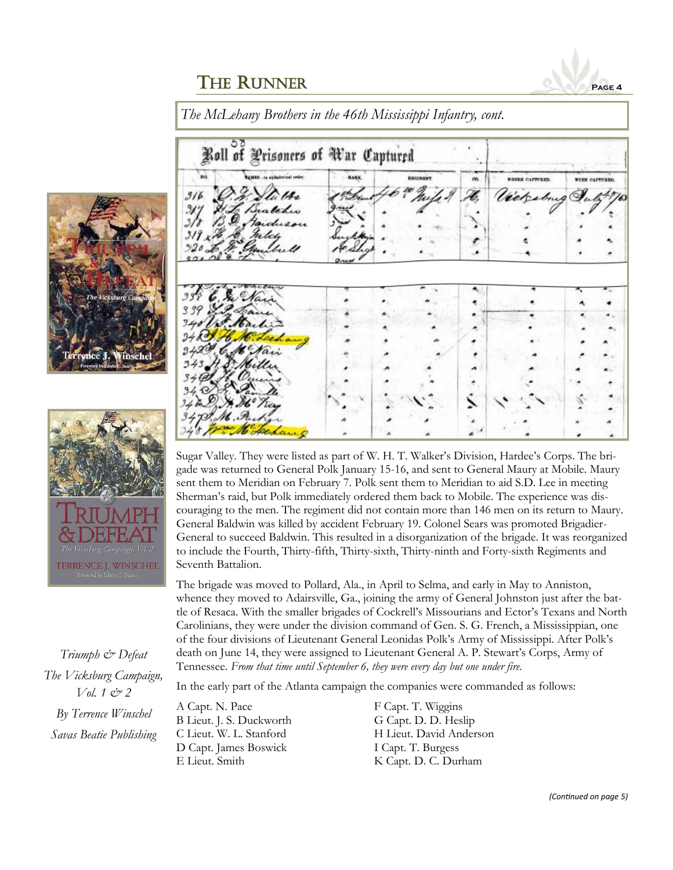



Sugar Valley. They were listed as part of W. H. T. Walker's Division, Hardee's Corps. The brigade was returned to General Polk January 15-16, and sent to General Maury at Mobile. Maury sent them to Meridian on February 7. Polk sent them to Meridian to aid S.D. Lee in meeting Sherman's raid, but Polk immediately ordered them back to Mobile. The experience was discouraging to the men. The regiment did not contain more than 146 men on its return to Maury. General Baldwin was killed by accident February 19. Colonel Sears was promoted Brigadier-General to succeed Baldwin. This resulted in a disorganization of the brigade. It was reorganized to include the Fourth, Thirty-fifth, Thirty-sixth, Thirty-ninth and Forty-sixth Regiments and Seventh Battalion.

The brigade was moved to Pollard, Ala., in April to Selma, and early in May to Anniston, whence they moved to Adairsville, Ga., joining the army of General Johnston just after the battle of Resaca. With the smaller brigades of Cockrell's Missourians and Ector's Texans and North Carolinians, they were under the division command of Gen. S. G. French, a Mississippian, one of the four divisions of Lieutenant General Leonidas Polk's Army of Mississippi. After Polk's death on June 14, they were assigned to Lieutenant General A. P. Stewart's Corps, Army of Tennessee. *From that time until September 6, they were every day but one under fire.*

In the early part of the Atlanta campaign the companies were commanded as follows:

A Capt. N. Pace F Capt. T. Wiggins B Lieut. J. S. Duckworth G Capt. D. D. Heslip D Capt. James Boswick I Capt. T. Burgess E Lieut. Smith K Capt. D. C. Durham

C Lieut. W. L. Stanford H Lieut. David Anderson



*Triumph & Defeat The Vicksburg Campaign, Vol. 1 & 2 By Terrence Winschel Savas Beatie Publishing*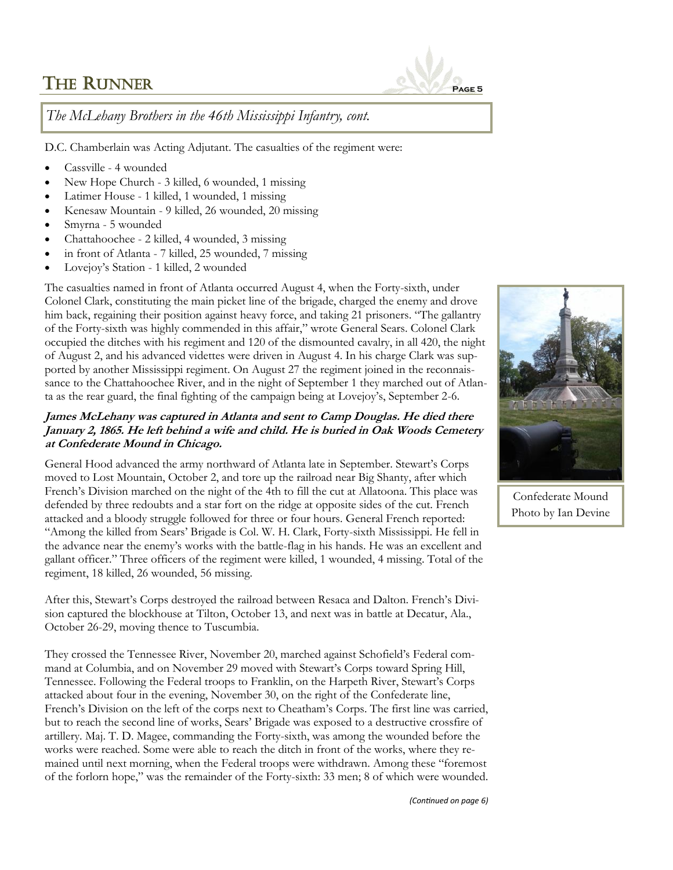

*The McLehany Brothers in the 46th Mississippi Infantry, cont.* 

D.C. Chamberlain was Acting Adjutant. The casualties of the regiment were:

- Cassville 4 wounded
- New Hope Church 3 killed, 6 wounded, 1 missing
- Latimer House 1 killed, 1 wounded, 1 missing
- Kenesaw Mountain 9 killed, 26 wounded, 20 missing
- Smyrna 5 wounded
- Chattahoochee 2 killed, 4 wounded, 3 missing
- in front of Atlanta 7 killed, 25 wounded, 7 missing
- Lovejoy's Station 1 killed, 2 wounded

The casualties named in front of Atlanta occurred August 4, when the Forty-sixth, under Colonel Clark, constituting the main picket line of the brigade, charged the enemy and drove him back, regaining their position against heavy force, and taking 21 prisoners. "The gallantry of the Forty-sixth was highly commended in this affair," wrote General Sears. Colonel Clark occupied the ditches with his regiment and 120 of the dismounted cavalry, in all 420, the night of August 2, and his advanced videttes were driven in August 4. In his charge Clark was supported by another Mississippi regiment. On August 27 the regiment joined in the reconnaissance to the Chattahoochee River, and in the night of September 1 they marched out of Atlanta as the rear guard, the final fighting of the campaign being at Lovejoy's, September 2-6.

#### **James McLehany was captured in Atlanta and sent to Camp Douglas. He died there January 2, 1865. He left behind a wife and child. He is buried in Oak Woods Cemetery at Confederate Mound in Chicago.**

General Hood advanced the army northward of Atlanta late in September. Stewart's Corps moved to Lost Mountain, October 2, and tore up the railroad near Big Shanty, after which French's Division marched on the night of the 4th to fill the cut at Allatoona. This place was defended by three redoubts and a star fort on the ridge at opposite sides of the cut. French attacked and a bloody struggle followed for three or four hours. General French reported: "Among the killed from Sears' Brigade is Col. W. H. Clark, Forty-sixth Mississippi. He fell in the advance near the enemy's works with the battle-flag in his hands. He was an excellent and gallant officer." Three officers of the regiment were killed, 1 wounded, 4 missing. Total of the regiment, 18 killed, 26 wounded, 56 missing.

After this, Stewart's Corps destroyed the railroad between Resaca and Dalton. French's Division captured the blockhouse at Tilton, October 13, and next was in battle at Decatur, Ala., October 26-29, moving thence to Tuscumbia.

They crossed the Tennessee River, November 20, marched against Schofield's Federal command at Columbia, and on November 29 moved with Stewart's Corps toward Spring Hill, Tennessee. Following the Federal troops to Franklin, on the Harpeth River, Stewart's Corps attacked about four in the evening, November 30, on the right of the Confederate line, French's Division on the left of the corps next to Cheatham's Corps. The first line was carried, but to reach the second line of works, Sears' Brigade was exposed to a destructive crossfire of artillery. Maj. T. D. Magee, commanding the Forty-sixth, was among the wounded before the works were reached. Some were able to reach the ditch in front of the works, where they remained until next morning, when the Federal troops were withdrawn. Among these "foremost of the forlorn hope," was the remainder of the Forty-sixth: 33 men; 8 of which were wounded.



Confederate Mound Photo by Ian Devine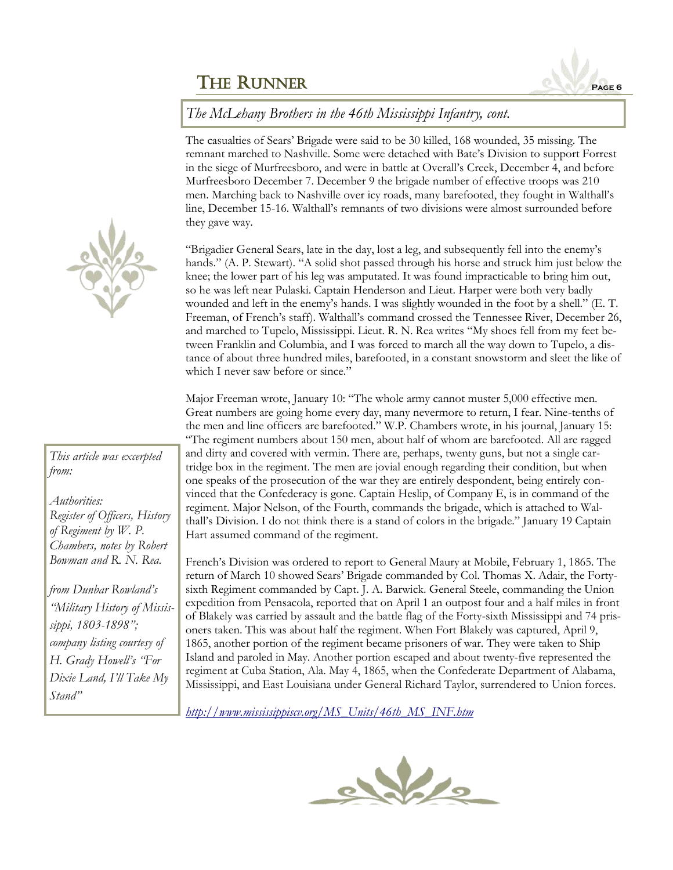

#### *The McLehany Brothers in the 46th Mississippi Infantry, cont.*

The casualties of Sears' Brigade were said to be 30 killed, 168 wounded, 35 missing. The remnant marched to Nashville. Some were detached with Bate's Division to support Forrest in the siege of Murfreesboro, and were in battle at Overall's Creek, December 4, and before Murfreesboro December 7. December 9 the brigade number of effective troops was 210 men. Marching back to Nashville over icy roads, many barefooted, they fought in Walthall's line, December 15-16. Walthall's remnants of two divisions were almost surrounded before they gave way.

"Brigadier General Sears, late in the day, lost a leg, and subsequently fell into the enemy's hands." (A. P. Stewart). "A solid shot passed through his horse and struck him just below the knee; the lower part of his leg was amputated. It was found impracticable to bring him out, so he was left near Pulaski. Captain Henderson and Lieut. Harper were both very badly wounded and left in the enemy's hands. I was slightly wounded in the foot by a shell." (E. T. Freeman, of French's staff). Walthall's command crossed the Tennessee River, December 26, and marched to Tupelo, Mississippi. Lieut. R. N. Rea writes "My shoes fell from my feet between Franklin and Columbia, and I was forced to march all the way down to Tupelo, a distance of about three hundred miles, barefooted, in a constant snowstorm and sleet the like of which I never saw before or since."

Major Freeman wrote, January 10: "The whole army cannot muster 5,000 effective men. Great numbers are going home every day, many nevermore to return, I fear. Nine-tenths of the men and line officers are barefooted." W.P. Chambers wrote, in his journal, January 15: "The regiment numbers about 150 men, about half of whom are barefooted. All are ragged and dirty and covered with vermin. There are, perhaps, twenty guns, but not a single cartridge box in the regiment. The men are jovial enough regarding their condition, but when one speaks of the prosecution of the war they are entirely despondent, being entirely convinced that the Confederacy is gone. Captain Heslip, of Company E, is in command of the regiment. Major Nelson, of the Fourth, commands the brigade, which is attached to Walthall's Division. I do not think there is a stand of colors in the brigade." January 19 Captain Hart assumed command of the regiment.

French's Division was ordered to report to General Maury at Mobile, February 1, 1865. The return of March 10 showed Sears' Brigade commanded by Col. Thomas X. Adair, the Fortysixth Regiment commanded by Capt. J. A. Barwick. General Steele, commanding the Union expedition from Pensacola, reported that on April 1 an outpost four and a half miles in front of Blakely was carried by assault and the battle flag of the Forty-sixth Mississippi and 74 prisoners taken. This was about half the regiment. When Fort Blakely was captured, April 9, 1865, another portion of the regiment became prisoners of war. They were taken to Ship Island and paroled in May. Another portion escaped and about twenty-five represented the regiment at Cuba Station, Ala. May 4, 1865, when the Confederate Department of Alabama, Mississippi, and East Louisiana under General Richard Taylor, surrendered to Union forces.

*[http://www.mississippiscv.org/MS\\_Units/46th\\_MS\\_INF.htm](http://www.mississippiscv.org/MS_Units/46th_MS_INF.htm)*





#### *This article was excerpted from:*

*Authorities: Register of Officers, History of Regiment by W. P. Chambers, notes by Robert Bowman and R. N. Rea.* 

*from Dunbar Rowland's "Military History of Mississippi, 1803-1898"; company listing courtesy of H. Grady Howell's "For Dixie Land, I'll Take My Stand"*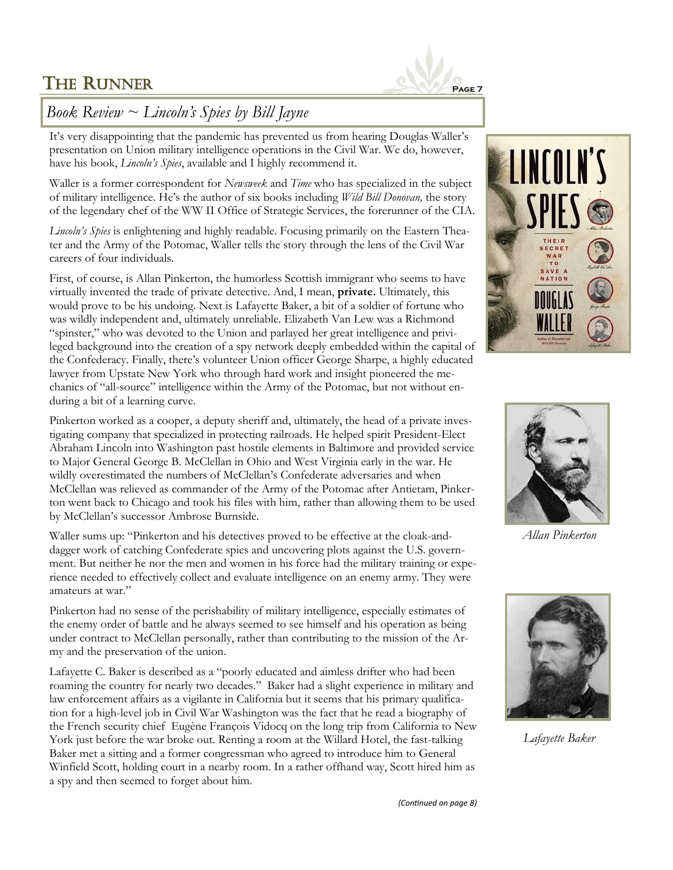

## *Book Review ~ Lincoln's Spies by Bill Jayne*

It's very disappointing that the pandemic has prevented us from hearing Douglas Waller's presentation on Union military intelligence operations in the Civil War. We do, however, have his book, *Lincoln's Spies*, available and I highly recommend it.

Waller is a former correspondent for *Newsweek* and *Time* who has specialized in the subject of military intelligence. He's the author of six books including *Wild Bill Donovan,* the story of the legendary chef of the WW II Office of Strategic Services, the forerunner of the CIA.

*Lincoln's Spies* is enlightening and highly readable. Focusing primarily on the Eastern Theater and the Army of the Potomac, Waller tells the story through the lens of the Civil War careers of four individuals.

First, of course, is Allan Pinkerton, the humorless Scottish immigrant who seems to have virtually invented the trade of private detective. And, I mean, **private.** Ultimately, this would prove to be his undoing. Next is Lafayette Baker, a bit of a soldier of fortune who was wildly independent and, ultimately unreliable. Elizabeth Van Lew was a Richmond "spinster," who was devoted to the Union and parlayed her great intelligence and privileged background into the creation of a spy network deeply embedded within the capital of the Confederacy. Finally, there's volunteer Union officer George Sharpe, a highly educated lawyer from Upstate New York who through hard work and insight pioneered the mechanics of "all-source" intelligence within the Army of the Potomac, but not without enduring a bit of a learning curve.

Pinkerton worked as a cooper, a deputy sheriff and, ultimately, the head of a private investigating company that specialized in protecting railroads. He helped spirit President-Elect Abraham Lincoln into Washington past hostile elements in Baltimore and provided service to Major General George B. McClellan in Ohio and West Virginia early in the war. He wildly overestimated the numbers of McClellan's Confederate adversaries and when McClellan was relieved as commander of the Army of the Potomac after Antietam, Pinkerton went back to Chicago and took his files with him, rather than allowing them to be used by McClellan's successor Ambrose Burnside.

Waller sums up: "Pinkerton and his detectives proved to be effective at the cloak-anddagger work of catching Confederate spies and uncovering plots against the U.S. government. But neither he nor the men and women in his force had the military training or experience needed to effectively collect and evaluate intelligence on an enemy army. They were amateurs at war."

Pinkerton had no sense of the perishability of military intelligence, especially estimates of the enemy order of battle and he always seemed to see himself and his operation as being under contract to McClellan personally, rather than contributing to the mission of the Army and the preservation of the union.

Lafayette C. Baker is described as a "poorly educated and aimless drifter who had been roaming the country for nearly two decades." Baker had a slight experience in military and law enforcement affairs as a vigilante in California but it seems that his primary qualification for a high-level job in Civil War Washington was the fact that he read a biography of the French security chief Eugène François Vidocq on the long trip from California to New York just before the war broke out. Renting a room at the Willard Hotel, the fast-talking Baker met a sitting and a former congressman who agreed to introduce him to General Winfield Scott, holding court in a nearby room. In a rather offhand way, Scott hired him as a spy and then seemed to forget about him.





*Allan Pinkerton* 



*Lafayette Baker*

*(Continued on page 8)*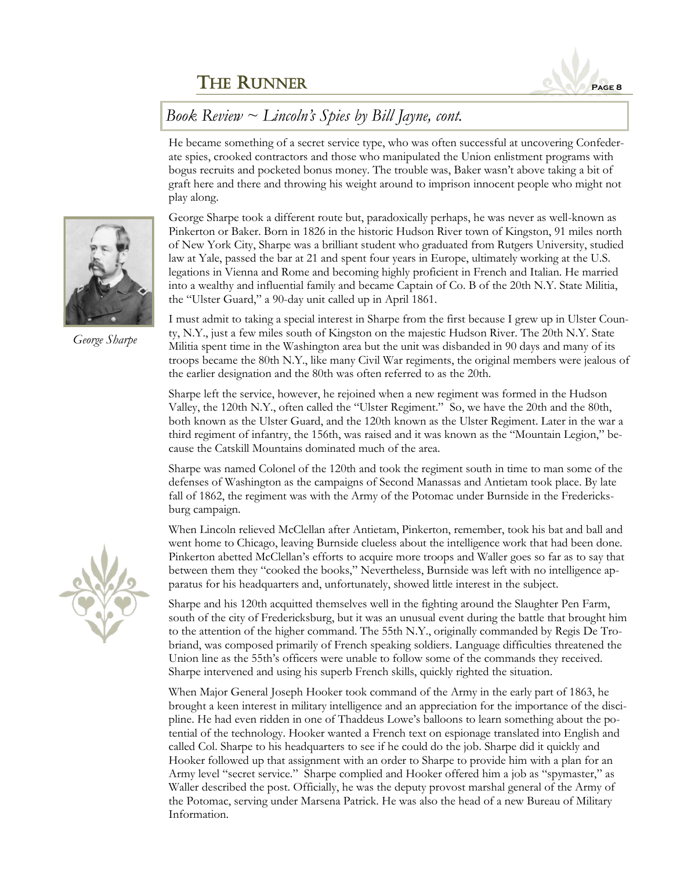

## *Book Review ~ Lincoln's Spies by Bill Jayne, cont.*

He became something of a secret service type, who was often successful at uncovering Confederate spies, crooked contractors and those who manipulated the Union enlistment programs with bogus recruits and pocketed bonus money. The trouble was, Baker wasn't above taking a bit of graft here and there and throwing his weight around to imprison innocent people who might not play along.

George Sharpe took a different route but, paradoxically perhaps, he was never as well-known as Pinkerton or Baker. Born in 1826 in the historic Hudson River town of Kingston, 91 miles north of New York City, Sharpe was a brilliant student who graduated from Rutgers University, studied law at Yale, passed the bar at 21 and spent four years in Europe, ultimately working at the U.S. legations in Vienna and Rome and becoming highly proficient in French and Italian. He married into a wealthy and influential family and became Captain of Co. B of the 20th N.Y. State Militia, the "Ulster Guard," a 90-day unit called up in April 1861.

I must admit to taking a special interest in Sharpe from the first because I grew up in Ulster County, N.Y., just a few miles south of Kingston on the majestic Hudson River. The 20th N.Y. State Militia spent time in the Washington area but the unit was disbanded in 90 days and many of its troops became the 80th N.Y., like many Civil War regiments, the original members were jealous of the earlier designation and the 80th was often referred to as the 20th.

Sharpe left the service, however, he rejoined when a new regiment was formed in the Hudson Valley, the 120th N.Y., often called the "Ulster Regiment." So, we have the 20th and the 80th, both known as the Ulster Guard, and the 120th known as the Ulster Regiment. Later in the war a third regiment of infantry, the 156th, was raised and it was known as the "Mountain Legion," because the Catskill Mountains dominated much of the area.

Sharpe was named Colonel of the 120th and took the regiment south in time to man some of the defenses of Washington as the campaigns of Second Manassas and Antietam took place. By late fall of 1862, the regiment was with the Army of the Potomac under Burnside in the Fredericksburg campaign.

When Lincoln relieved McClellan after Antietam, Pinkerton, remember, took his bat and ball and went home to Chicago, leaving Burnside clueless about the intelligence work that had been done. Pinkerton abetted McClellan's efforts to acquire more troops and Waller goes so far as to say that between them they "cooked the books," Nevertheless, Burnside was left with no intelligence apparatus for his headquarters and, unfortunately, showed little interest in the subject.

Sharpe and his 120th acquitted themselves well in the fighting around the Slaughter Pen Farm, south of the city of Fredericksburg, but it was an unusual event during the battle that brought him to the attention of the higher command. The 55th N.Y., originally commanded by Regis De Trobriand, was composed primarily of French speaking soldiers. Language difficulties threatened the Union line as the 55th's officers were unable to follow some of the commands they received. Sharpe intervened and using his superb French skills, quickly righted the situation.

When Major General Joseph Hooker took command of the Army in the early part of 1863, he brought a keen interest in military intelligence and an appreciation for the importance of the discipline. He had even ridden in one of Thaddeus Lowe's balloons to learn something about the potential of the technology. Hooker wanted a French text on espionage translated into English and called Col. Sharpe to his headquarters to see if he could do the job. Sharpe did it quickly and Hooker followed up that assignment with an order to Sharpe to provide him with a plan for an Army level "secret service." Sharpe complied and Hooker offered him a job as "spymaster," as Waller described the post. Officially, he was the deputy provost marshal general of the Army of the Potomac, serving under Marsena Patrick. He was also the head of a new Bureau of Military Information.



*George Sharpe*

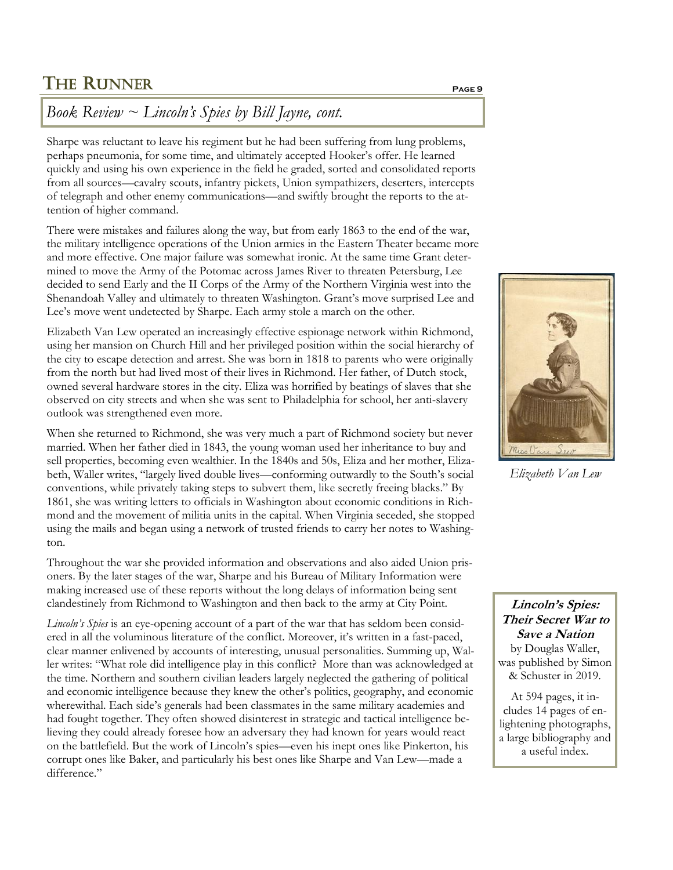## *Book Review ~ Lincoln's Spies by Bill Jayne, cont.*

Sharpe was reluctant to leave his regiment but he had been suffering from lung problems, perhaps pneumonia, for some time, and ultimately accepted Hooker's offer. He learned quickly and using his own experience in the field he graded, sorted and consolidated reports from all sources—cavalry scouts, infantry pickets, Union sympathizers, deserters, intercepts of telegraph and other enemy communications—and swiftly brought the reports to the attention of higher command.

There were mistakes and failures along the way, but from early 1863 to the end of the war, the military intelligence operations of the Union armies in the Eastern Theater became more and more effective. One major failure was somewhat ironic. At the same time Grant determined to move the Army of the Potomac across James River to threaten Petersburg, Lee decided to send Early and the II Corps of the Army of the Northern Virginia west into the Shenandoah Valley and ultimately to threaten Washington. Grant's move surprised Lee and Lee's move went undetected by Sharpe. Each army stole a march on the other.

Elizabeth Van Lew operated an increasingly effective espionage network within Richmond, using her mansion on Church Hill and her privileged position within the social hierarchy of the city to escape detection and arrest. She was born in 1818 to parents who were originally from the north but had lived most of their lives in Richmond. Her father, of Dutch stock, owned several hardware stores in the city. Eliza was horrified by beatings of slaves that she observed on city streets and when she was sent to Philadelphia for school, her anti-slavery outlook was strengthened even more.

When she returned to Richmond, she was very much a part of Richmond society but never married. When her father died in 1843, the young woman used her inheritance to buy and sell properties, becoming even wealthier. In the 1840s and 50s, Eliza and her mother, Elizabeth, Waller writes, "largely lived double lives—conforming outwardly to the South's social conventions, while privately taking steps to subvert them, like secretly freeing blacks." By 1861, she was writing letters to officials in Washington about economic conditions in Richmond and the movement of militia units in the capital. When Virginia seceded, she stopped using the mails and began using a network of trusted friends to carry her notes to Washington.

Throughout the war she provided information and observations and also aided Union prisoners. By the later stages of the war, Sharpe and his Bureau of Military Information were making increased use of these reports without the long delays of information being sent clandestinely from Richmond to Washington and then back to the army at City Point.

*Lincoln's Spies* is an eye-opening account of a part of the war that has seldom been considered in all the voluminous literature of the conflict. Moreover, it's written in a fast-paced, clear manner enlivened by accounts of interesting, unusual personalities. Summing up, Waller writes: "What role did intelligence play in this conflict? More than was acknowledged at the time. Northern and southern civilian leaders largely neglected the gathering of political and economic intelligence because they knew the other's politics, geography, and economic wherewithal. Each side's generals had been classmates in the same military academies and had fought together. They often showed disinterest in strategic and tactical intelligence believing they could already foresee how an adversary they had known for years would react on the battlefield. But the work of Lincoln's spies—even his inept ones like Pinkerton, his corrupt ones like Baker, and particularly his best ones like Sharpe and Van Lew—made a difference."



*Elizabeth Van Lew*

**Lincoln's Spies: Their Secret War to Save a Nation** by Douglas Waller, was published by Simon & Schuster in 2019.

At 594 pages, it includes 14 pages of enlightening photographs, a large bibliography and a useful index.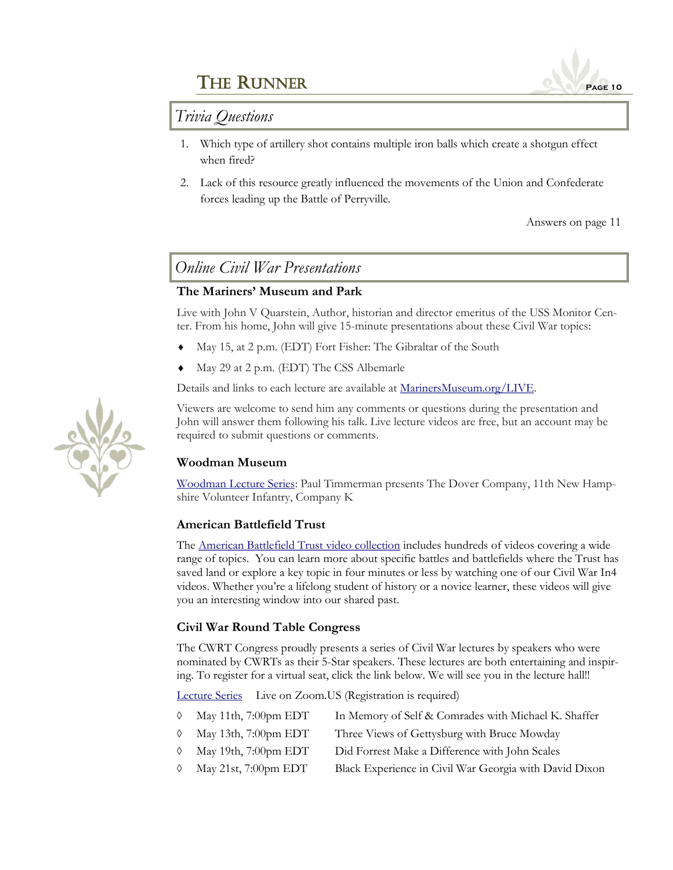

### *Trivia Questions*

- 1. Which type of artillery shot contains multiple iron balls which create a shotgun effect when fired?
- 2. Lack of this resource greatly influenced the movements of the Union and Confederate forces leading up the Battle of Perryville.

Answers on page 11

### *Online Civil War Presentations*

#### **The Mariners' Museum and Park**

Live with John V Quarstein, Author, historian and director emeritus of the USS Monitor Center. From his home, John will give 15-minute presentations about these Civil War topics:

- May 15, at 2 p.m. (EDT) Fort Fisher: The Gibraltar of the South
- May 29 at 2 p.m. (EDT) The CSS Albemarle

Details and links to each lecture are available at [MarinersMuseum.org/LIVE.](MarinersMuseum.org/LIVE)

Viewers are welcome to send him any comments or questions during the presentation and John will answer them following his talk. Live lecture videos are free, but an account may be required to submit questions or comments.

#### **Woodman Museum**

[Woodman Lecture Series:](https://www.youtube.com/watch?v=i85KAIvJbxM) Paul Timmerman presents The Dover Company, 11th New Hampshire Volunteer Infantry, Company K

#### **American Battlefield Trust**

The American Battlefield [Trust video collection](https://www.battlefields.org/learn/videos) includes hundreds of videos covering a wide range of topics. You can learn more about specific battles and battlefields where the Trust has saved land or explore a key topic in four minutes or less by watching one of our Civil War In4 videos. Whether you're a lifelong student of history or a novice learner, these videos will give you an interesting window into our shared past.

#### **Civil War Round Table Congress**

The CWRT Congress proudly presents a series of Civil War lectures by speakers who were nominated by CWRTs as their 5-Star speakers. These lectures are both entertaining and inspiring. To register for a virtual seat, click the link below. We will see you in the lecture hall!!

[Lecture Series](http://www.cwrtcongress.org/lectures.html) Live on Zoom.US (Registration is required)

- May 11th, 7:00pm EDT In Memory of Self & Comrades with Michael K. Shaffer
- May 13th, 7:00pm EDT Three Views of Gettysburg with Bruce Mowday
- May 19th, 7:00pm EDT Did Forrest Make a Difference with John Scales
- $\Diamond$  May 21st, 7:00pm EDT Black Experience in Civil War Georgia with David Dixon

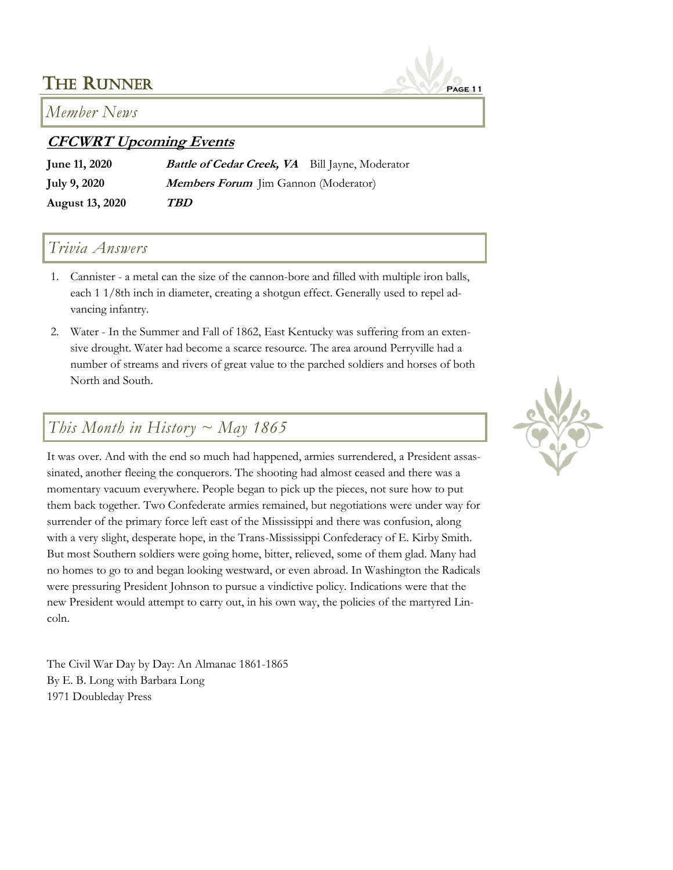

### *Member News*

## **CFCWRT Upcoming Events**

**June 11, 2020 Battle of Cedar Creek, VA** Bill Jayne, Moderator **July 9, 2020 Members Forum** Jim Gannon (Moderator) **August 13, 2020 TBD** 

## *Trivia Answers*

- 1. Cannister a metal can the size of the cannon-bore and filled with multiple iron balls, each 1 1/8th inch in diameter, creating a shotgun effect. Generally used to repel advancing infantry.
- 2. Water In the Summer and Fall of 1862, East Kentucky was suffering from an extensive drought. Water had become a scarce resource. The area around Perryville had a number of streams and rivers of great value to the parched soldiers and horses of both North and South.

## *This Month in History ~ May 1865*

It was over. And with the end so much had happened, armies surrendered, a President assassinated, another fleeing the conquerors. The shooting had almost ceased and there was a momentary vacuum everywhere. People began to pick up the pieces, not sure how to put them back together. Two Confederate armies remained, but negotiations were under way for surrender of the primary force left east of the Mississippi and there was confusion, along with a very slight, desperate hope, in the Trans-Mississippi Confederacy of E. Kirby Smith. But most Southern soldiers were going home, bitter, relieved, some of them glad. Many had no homes to go to and began looking westward, or even abroad. In Washington the Radicals were pressuring President Johnson to pursue a vindictive policy. Indications were that the new President would attempt to carry out, in his own way, the policies of the martyred Lincoln.

The Civil War Day by Day: An Almanac 1861-1865 By E. B. Long with Barbara Long 1971 Doubleday Press